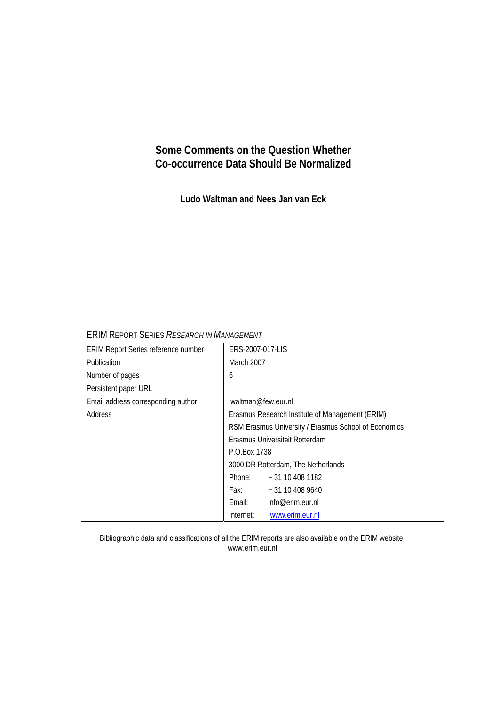## **Some Comments on the Question Whether Co-occurrence Data Should Be Normalized**

**Ludo Waltman and Nees Jan van Eck** 

| <b>ERIM REPORT SERIES RESEARCH IN MANAGEMENT</b> |                                                      |                   |
|--------------------------------------------------|------------------------------------------------------|-------------------|
| ERIM Report Series reference number              | ERS-2007-017-LIS                                     |                   |
| Publication                                      | March 2007                                           |                   |
| Number of pages                                  | 6                                                    |                   |
| Persistent paper URL                             |                                                      |                   |
| Email address corresponding author               | lwaltman@few.eur.nl                                  |                   |
| Address                                          | Erasmus Research Institute of Management (ERIM)      |                   |
|                                                  | RSM Erasmus University / Erasmus School of Economics |                   |
|                                                  | Erasmus Universiteit Rotterdam                       |                   |
|                                                  | P.O.Box 1738                                         |                   |
|                                                  | 3000 DR Rotterdam, The Netherlands                   |                   |
|                                                  | Phone:                                               | $+31$ 10 408 1182 |
|                                                  | Fax: Fax:                                            | $+31104089640$    |
|                                                  | Email:                                               | info@erim.eur.nl  |
|                                                  | Internet:                                            | www.erim.eur.nl   |

Bibliographic data and classifications of all the ERIM reports are also available on the ERIM website: www.erim.eur.nl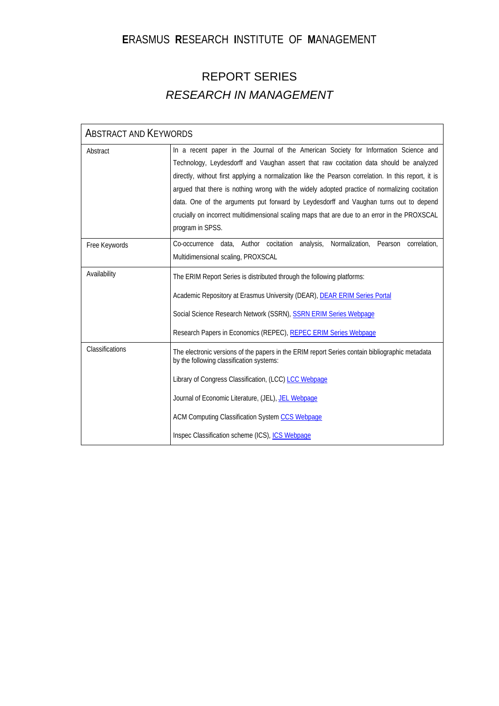# **E**RASMUS **R**ESEARCH **I**NSTITUTE OF **M**ANAGEMENT

# REPORT SERIES *RESEARCH IN MANAGEMENT*

| <b>ABSTRACT AND KEYWORDS</b> |                                                                                                                                                                                                                                                                                                                                                                                                                                                                                                                                                                                                       |  |
|------------------------------|-------------------------------------------------------------------------------------------------------------------------------------------------------------------------------------------------------------------------------------------------------------------------------------------------------------------------------------------------------------------------------------------------------------------------------------------------------------------------------------------------------------------------------------------------------------------------------------------------------|--|
| Abstract                     | In a recent paper in the Journal of the American Society for Information Science and<br>Technology, Leydesdorff and Vaughan assert that raw cocitation data should be analyzed<br>directly, without first applying a normalization like the Pearson correlation. In this report, it is<br>argued that there is nothing wrong with the widely adopted practice of normalizing cocitation<br>data. One of the arguments put forward by Leydesdorff and Vaughan turns out to depend<br>crucially on incorrect multidimensional scaling maps that are due to an error in the PROXSCAL<br>program in SPSS. |  |
| Free Keywords                | Normalization, Pearson correlation,<br>Co-occurrence data, Author cocitation analysis,<br>Multidimensional scaling, PROXSCAL                                                                                                                                                                                                                                                                                                                                                                                                                                                                          |  |
| Availability                 | The ERIM Report Series is distributed through the following platforms:<br>Academic Repository at Erasmus University (DEAR), DEAR ERIM Series Portal<br>Social Science Research Network (SSRN), SSRN ERIM Series Webpage<br>Research Papers in Economics (REPEC), REPEC ERIM Series Webpage                                                                                                                                                                                                                                                                                                            |  |
| Classifications              | The electronic versions of the papers in the ERIM report Series contain bibliographic metadata<br>by the following classification systems:<br>Library of Congress Classification, (LCC) LCC Webpage<br>Journal of Economic Literature, (JEL), JEL Webpage<br>ACM Computing Classification System CCS Webpage<br>Inspec Classification scheme (ICS), ICS Webpage                                                                                                                                                                                                                                       |  |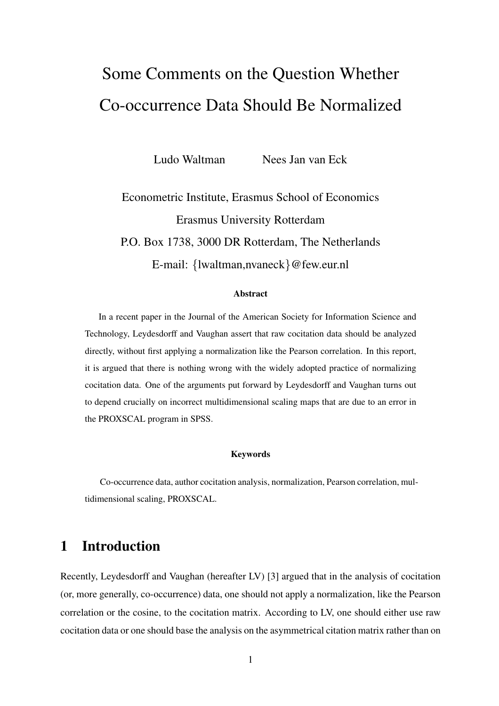# Some Comments on the Question Whether Co-occurrence Data Should Be Normalized

Ludo Waltman Nees Jan van Eck

Econometric Institute, Erasmus School of Economics Erasmus University Rotterdam P.O. Box 1738, 3000 DR Rotterdam, The Netherlands E-mail: {lwaltman,nvaneck}@few.eur.nl

#### Abstract

In a recent paper in the Journal of the American Society for Information Science and Technology, Leydesdorff and Vaughan assert that raw cocitation data should be analyzed directly, without first applying a normalization like the Pearson correlation. In this report, it is argued that there is nothing wrong with the widely adopted practice of normalizing cocitation data. One of the arguments put forward by Leydesdorff and Vaughan turns out to depend crucially on incorrect multidimensional scaling maps that are due to an error in the PROXSCAL program in SPSS.

#### Keywords

Co-occurrence data, author cocitation analysis, normalization, Pearson correlation, multidimensional scaling, PROXSCAL.

# 1 Introduction

Recently, Leydesdorff and Vaughan (hereafter LV) [3] argued that in the analysis of cocitation (or, more generally, co-occurrence) data, one should not apply a normalization, like the Pearson correlation or the cosine, to the cocitation matrix. According to LV, one should either use raw cocitation data or one should base the analysis on the asymmetrical citation matrix rather than on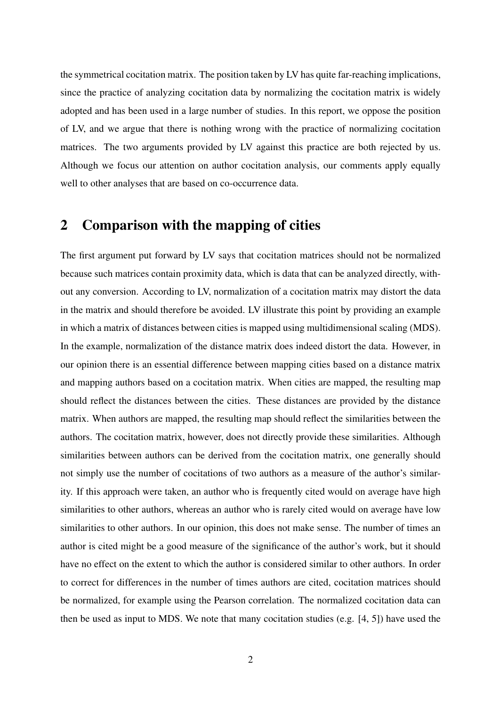the symmetrical cocitation matrix. The position taken by LV has quite far-reaching implications, since the practice of analyzing cocitation data by normalizing the cocitation matrix is widely adopted and has been used in a large number of studies. In this report, we oppose the position of LV, and we argue that there is nothing wrong with the practice of normalizing cocitation matrices. The two arguments provided by LV against this practice are both rejected by us. Although we focus our attention on author cocitation analysis, our comments apply equally well to other analyses that are based on co-occurrence data.

### 2 Comparison with the mapping of cities

The first argument put forward by LV says that cocitation matrices should not be normalized because such matrices contain proximity data, which is data that can be analyzed directly, without any conversion. According to LV, normalization of a cocitation matrix may distort the data in the matrix and should therefore be avoided. LV illustrate this point by providing an example in which a matrix of distances between cities is mapped using multidimensional scaling (MDS). In the example, normalization of the distance matrix does indeed distort the data. However, in our opinion there is an essential difference between mapping cities based on a distance matrix and mapping authors based on a cocitation matrix. When cities are mapped, the resulting map should reflect the distances between the cities. These distances are provided by the distance matrix. When authors are mapped, the resulting map should reflect the similarities between the authors. The cocitation matrix, however, does not directly provide these similarities. Although similarities between authors can be derived from the cocitation matrix, one generally should not simply use the number of cocitations of two authors as a measure of the author's similarity. If this approach were taken, an author who is frequently cited would on average have high similarities to other authors, whereas an author who is rarely cited would on average have low similarities to other authors. In our opinion, this does not make sense. The number of times an author is cited might be a good measure of the significance of the author's work, but it should have no effect on the extent to which the author is considered similar to other authors. In order to correct for differences in the number of times authors are cited, cocitation matrices should be normalized, for example using the Pearson correlation. The normalized cocitation data can then be used as input to MDS. We note that many cocitation studies (e.g. [4, 5]) have used the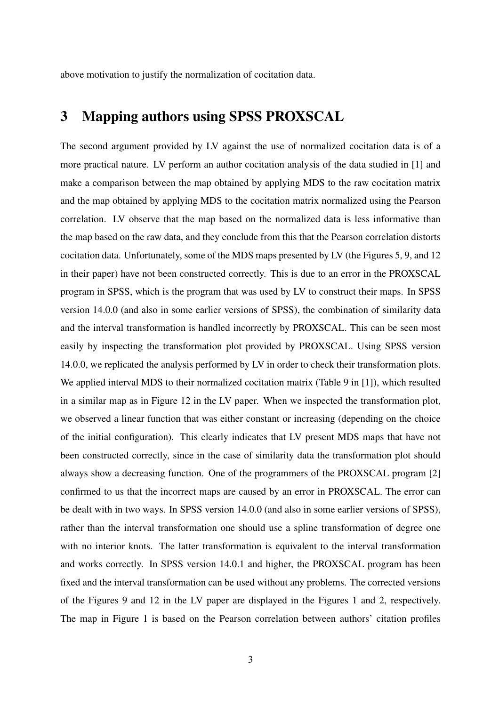above motivation to justify the normalization of cocitation data.

# 3 Mapping authors using SPSS PROXSCAL

The second argument provided by LV against the use of normalized cocitation data is of a more practical nature. LV perform an author cocitation analysis of the data studied in [1] and make a comparison between the map obtained by applying MDS to the raw cocitation matrix and the map obtained by applying MDS to the cocitation matrix normalized using the Pearson correlation. LV observe that the map based on the normalized data is less informative than the map based on the raw data, and they conclude from this that the Pearson correlation distorts cocitation data. Unfortunately, some of the MDS maps presented by LV (the Figures 5, 9, and 12 in their paper) have not been constructed correctly. This is due to an error in the PROXSCAL program in SPSS, which is the program that was used by LV to construct their maps. In SPSS version 14.0.0 (and also in some earlier versions of SPSS), the combination of similarity data and the interval transformation is handled incorrectly by PROXSCAL. This can be seen most easily by inspecting the transformation plot provided by PROXSCAL. Using SPSS version 14.0.0, we replicated the analysis performed by LV in order to check their transformation plots. We applied interval MDS to their normalized cocitation matrix (Table 9 in [1]), which resulted in a similar map as in Figure 12 in the LV paper. When we inspected the transformation plot, we observed a linear function that was either constant or increasing (depending on the choice of the initial configuration). This clearly indicates that LV present MDS maps that have not been constructed correctly, since in the case of similarity data the transformation plot should always show a decreasing function. One of the programmers of the PROXSCAL program [2] confirmed to us that the incorrect maps are caused by an error in PROXSCAL. The error can be dealt with in two ways. In SPSS version 14.0.0 (and also in some earlier versions of SPSS), rather than the interval transformation one should use a spline transformation of degree one with no interior knots. The latter transformation is equivalent to the interval transformation and works correctly. In SPSS version 14.0.1 and higher, the PROXSCAL program has been fixed and the interval transformation can be used without any problems. The corrected versions of the Figures 9 and 12 in the LV paper are displayed in the Figures 1 and 2, respectively. The map in Figure 1 is based on the Pearson correlation between authors' citation profiles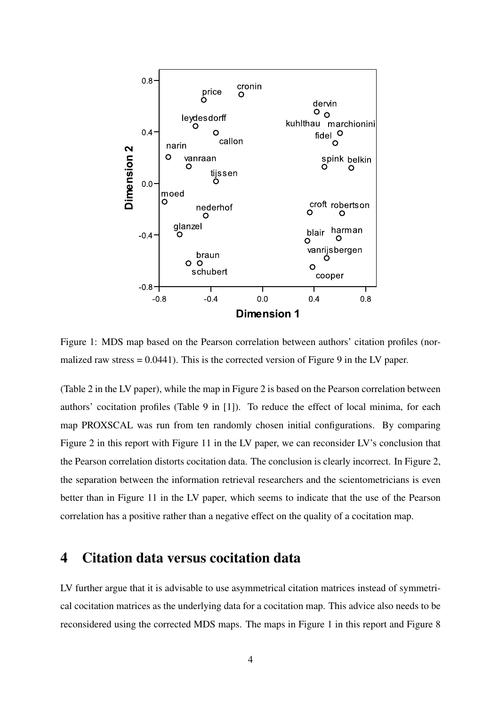

Figure 1: MDS map based on the Pearson correlation between authors' citation profiles (normalized raw stress  $= 0.0441$ ). This is the corrected version of Figure 9 in the LV paper.

(Table 2 in the LV paper), while the map in Figure 2 is based on the Pearson correlation between authors' cocitation profiles (Table 9 in [1]). To reduce the effect of local minima, for each map PROXSCAL was run from ten randomly chosen initial configurations. By comparing Figure 2 in this report with Figure 11 in the LV paper, we can reconsider LV's conclusion that the Pearson correlation distorts cocitation data. The conclusion is clearly incorrect. In Figure 2, the separation between the information retrieval researchers and the scientometricians is even better than in Figure 11 in the LV paper, which seems to indicate that the use of the Pearson correlation has a positive rather than a negative effect on the quality of a cocitation map.

# 4 Citation data versus cocitation data

LV further argue that it is advisable to use asymmetrical citation matrices instead of symmetrical cocitation matrices as the underlying data for a cocitation map. This advice also needs to be reconsidered using the corrected MDS maps. The maps in Figure 1 in this report and Figure 8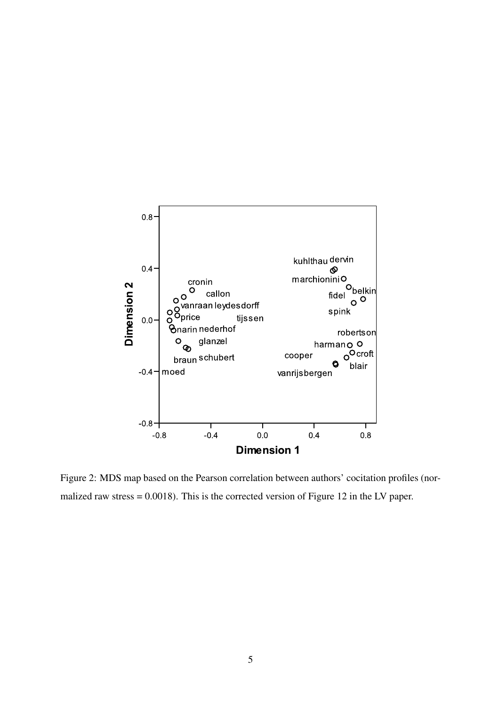

Figure 2: MDS map based on the Pearson correlation between authors' cocitation profiles (normalized raw stress = 0.0018). This is the corrected version of Figure 12 in the LV paper.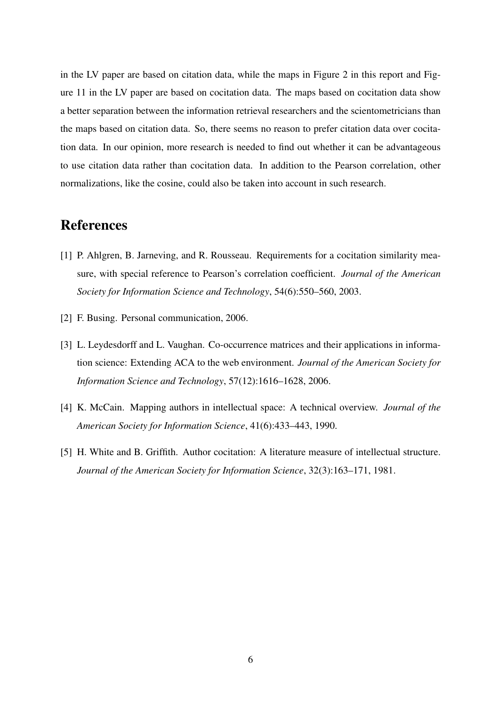in the LV paper are based on citation data, while the maps in Figure 2 in this report and Figure 11 in the LV paper are based on cocitation data. The maps based on cocitation data show a better separation between the information retrieval researchers and the scientometricians than the maps based on citation data. So, there seems no reason to prefer citation data over cocitation data. In our opinion, more research is needed to find out whether it can be advantageous to use citation data rather than cocitation data. In addition to the Pearson correlation, other normalizations, like the cosine, could also be taken into account in such research.

# References

- [1] P. Ahlgren, B. Jarneving, and R. Rousseau. Requirements for a cocitation similarity measure, with special reference to Pearson's correlation coefficient. *Journal of the American Society for Information Science and Technology*, 54(6):550–560, 2003.
- [2] F. Busing. Personal communication, 2006.
- [3] L. Leydesdorff and L. Vaughan. Co-occurrence matrices and their applications in information science: Extending ACA to the web environment. *Journal of the American Society for Information Science and Technology*, 57(12):1616–1628, 2006.
- [4] K. McCain. Mapping authors in intellectual space: A technical overview. *Journal of the American Society for Information Science*, 41(6):433–443, 1990.
- [5] H. White and B. Griffith. Author cocitation: A literature measure of intellectual structure. *Journal of the American Society for Information Science*, 32(3):163–171, 1981.